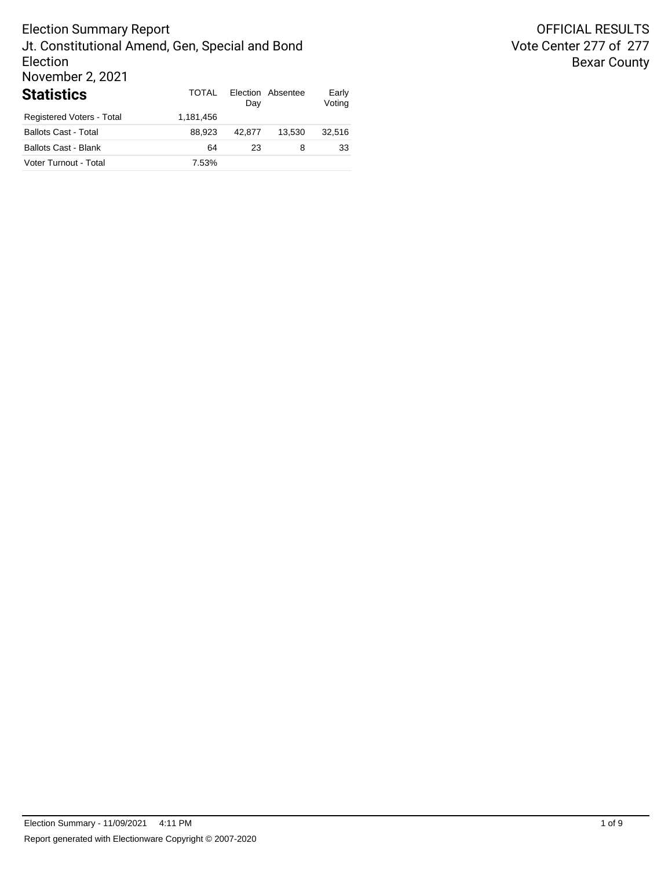# Election Summary Report Jt. Constitutional Amend, Gen, Special and Bond Election November 2, 2021 **Statistics** TOTAL Election

| <b>Statistics</b>           | TOTAI     | Day    | Election Absentee | Early<br>Voting |
|-----------------------------|-----------|--------|-------------------|-----------------|
| Registered Voters - Total   | 1.181.456 |        |                   |                 |
| <b>Ballots Cast - Total</b> | 88.923    | 42.877 | 13.530            | 32.516          |
| <b>Ballots Cast - Blank</b> | 64        | 23     | 8                 | 33              |
| Voter Turnout - Total       | 7.53%     |        |                   |                 |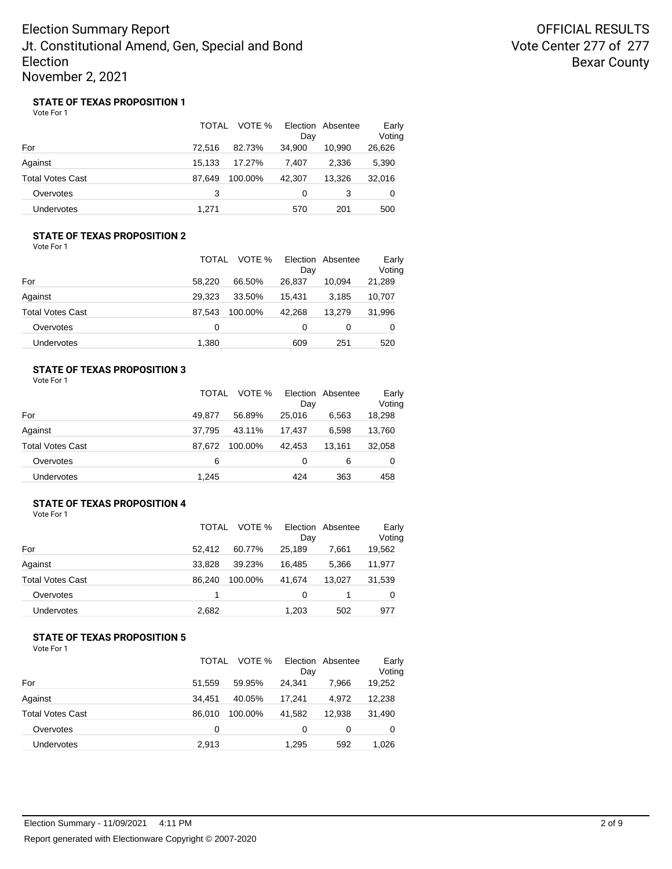OFFICIAL RESULTS Vote Center 277 of 277 Bexar County

### **STATE OF TEXAS PROPOSITION 1**

Vote For 1

|                   | TOTAL  | VOTE %  | Election Absentee<br>Day |        | Early<br>Voting |
|-------------------|--------|---------|--------------------------|--------|-----------------|
| For               | 72.516 | 82.73%  | 34.900                   | 10,990 | 26,626          |
| Against           | 15.133 | 17.27%  | 7.407                    | 2.336  | 5,390           |
| Total Votes Cast  | 87.649 | 100.00% | 42.307                   | 13.326 | 32,016          |
| Overvotes         | 3      |         | 0                        | 3      | 0               |
| <b>Undervotes</b> | 1,271  |         | 570                      | 201    | 500             |

### **STATE OF TEXAS PROPOSITION 2** Vote For 1

|                   | TOTAL  | VOTE %  | Dav    | Election Absentee | Early<br>Voting |
|-------------------|--------|---------|--------|-------------------|-----------------|
| For               | 58.220 | 66.50%  | 26.837 | 10.094            | 21,289          |
| Against           | 29.323 | 33.50%  | 15.431 | 3,185             | 10,707          |
| Total Votes Cast  | 87.543 | 100.00% | 42.268 | 13.279            | 31,996          |
| Overvotes         | 0      |         | 0      | 0                 | 0               |
| <b>Undervotes</b> | 1,380  |         | 609    | 251               | 520             |

## **STATE OF TEXAS PROPOSITION 3**

Vote For 1

|                         | <b>TOTAL</b> | VOTE %  | Day    | Election Absentee | Early<br>Voting |
|-------------------------|--------------|---------|--------|-------------------|-----------------|
| For                     | 49.877       | 56.89%  | 25,016 | 6.563             | 18,298          |
| Against                 | 37.795       | 43.11%  | 17.437 | 6.598             | 13,760          |
| <b>Total Votes Cast</b> | 87.672       | 100.00% | 42.453 | 13.161            | 32,058          |
| Overvotes               | 6            |         | 0      | 6                 | 0               |
| Undervotes              | 1.245        |         | 424    | 363               | 458             |

### **STATE OF TEXAS PROPOSITION 4**

Vote For 1

|                         | TOTAL  | VOTE %  | Day    | Election Absentee | Early<br>Voting |
|-------------------------|--------|---------|--------|-------------------|-----------------|
| For                     | 52.412 | 60.77%  | 25.189 | 7.661             | 19,562          |
| Against                 | 33.828 | 39.23%  | 16.485 | 5,366             | 11,977          |
| <b>Total Votes Cast</b> | 86.240 | 100.00% | 41.674 | 13.027            | 31,539          |
| Overvotes               | 1      |         | 0      |                   | 0               |
| Undervotes              | 2,682  |         | 1,203  | 502               | 977             |

## **STATE OF TEXAS PROPOSITION 5**

|                         | TOTAL  | VOTE %  | Day    | Election Absentee | Early<br>Voting |
|-------------------------|--------|---------|--------|-------------------|-----------------|
| For                     | 51.559 | 59.95%  | 24.341 | 7.966             | 19,252          |
| Against                 | 34.451 | 40.05%  | 17.241 | 4.972             | 12,238          |
| <b>Total Votes Cast</b> | 86.010 | 100.00% | 41.582 | 12.938            | 31,490          |
| Overvotes               | 0      |         | 0      | 0                 | 0               |
| Undervotes              | 2,913  |         | 1.295  | 592               | 1.026           |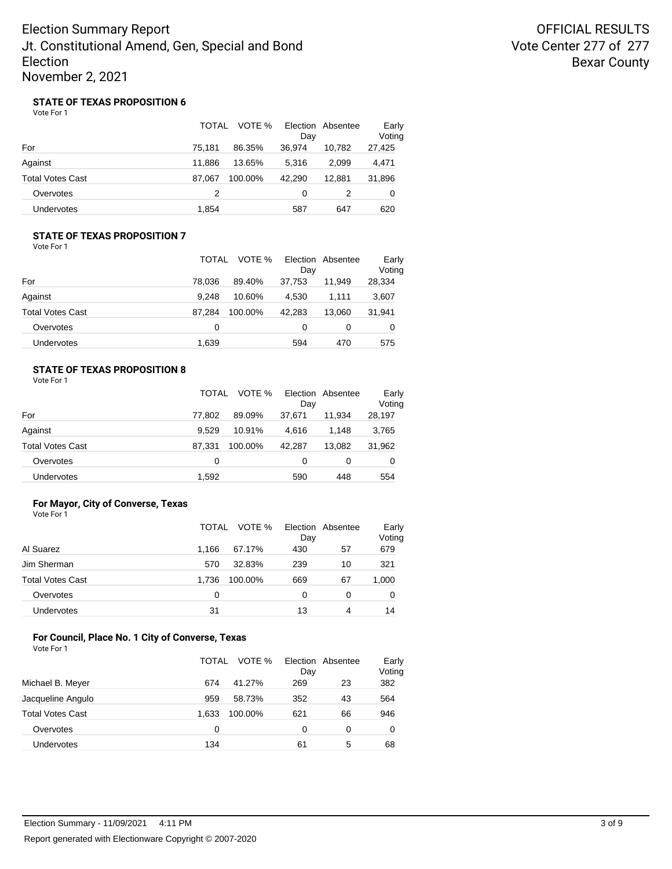OFFICIAL RESULTS Vote Center 277 of 277 Bexar County

### **STATE OF TEXAS PROPOSITION 6**

Vote For 1

|                   | TOTAL  | VOTE %  | Day    | Election Absentee | Early<br>Voting |
|-------------------|--------|---------|--------|-------------------|-----------------|
| For               | 75.181 | 86.35%  | 36.974 | 10,782            | 27,425          |
| Against           | 11.886 | 13.65%  | 5.316  | 2.099             | 4,471           |
| Total Votes Cast  | 87.067 | 100.00% | 42.290 | 12.881            | 31,896          |
| Overvotes         | 2      |         | 0      | 2                 | 0               |
| <b>Undervotes</b> | 1,854  |         | 587    | 647               | 620             |

### **STATE OF TEXAS PROPOSITION 7** Vote For 1

|                   | TOTAL  | VOTE %  | Dav    | Election Absentee | Early<br>Voting |
|-------------------|--------|---------|--------|-------------------|-----------------|
| For               | 78.036 | 89.40%  | 37.753 | 11.949            | 28,334          |
| Against           | 9.248  | 10.60%  | 4.530  | 1.111             | 3,607           |
| Total Votes Cast  | 87.284 | 100.00% | 42.283 | 13.060            | 31,941          |
| Overvotes         | 0      |         | 0      | 0                 | 0               |
| <b>Undervotes</b> | 1,639  |         | 594    | 470               | 575             |

## **STATE OF TEXAS PROPOSITION 8**

Vote For 1

|                         | TOTAL  | VOTE %  | Day    | Election Absentee | Early<br>Voting |
|-------------------------|--------|---------|--------|-------------------|-----------------|
| For                     | 77.802 | 89.09%  | 37.671 | 11.934            | 28,197          |
| Against                 | 9.529  | 10.91%  | 4.616  | 1.148             | 3,765           |
| <b>Total Votes Cast</b> | 87.331 | 100.00% | 42.287 | 13.082            | 31,962          |
| Overvotes               | 0      |         | 0      | 0                 | 0               |
| Undervotes              | 1,592  |         | 590    | 448               | 554             |

### **For Mayor, City of Converse, Texas** Vote For 1

|                         | VOTE %<br>TOTAL  | Election Absentee<br>Day | Early<br>Voting |
|-------------------------|------------------|--------------------------|-----------------|
| Al Suarez               | 1.166<br>67.17%  | 430<br>57                | 679             |
| Jim Sherman             | 32.83%<br>570    | 239<br>10                | 321             |
| <b>Total Votes Cast</b> | 1.736<br>100.00% | 669<br>67                | 1,000           |
| Overvotes               | 0                | 0<br>0                   | 0               |
| <b>Undervotes</b>       | 31               | 13<br>4                  | 14              |

#### **For Council, Place No. 1 City of Converse, Texas** Vote For 1

|       | VOTE % | Day              |    | Early<br>Voting   |
|-------|--------|------------------|----|-------------------|
| 674   | 41.27% | 269              | 23 | 382               |
| 959   | 58.73% | 352              | 43 | 564               |
| 1.633 |        | 621              | 66 | 946               |
| 0     |        | 0                | 0  | 0                 |
| 134   |        | 61               | 5  | 68                |
|       |        | TOTAL<br>100.00% |    | Election Absentee |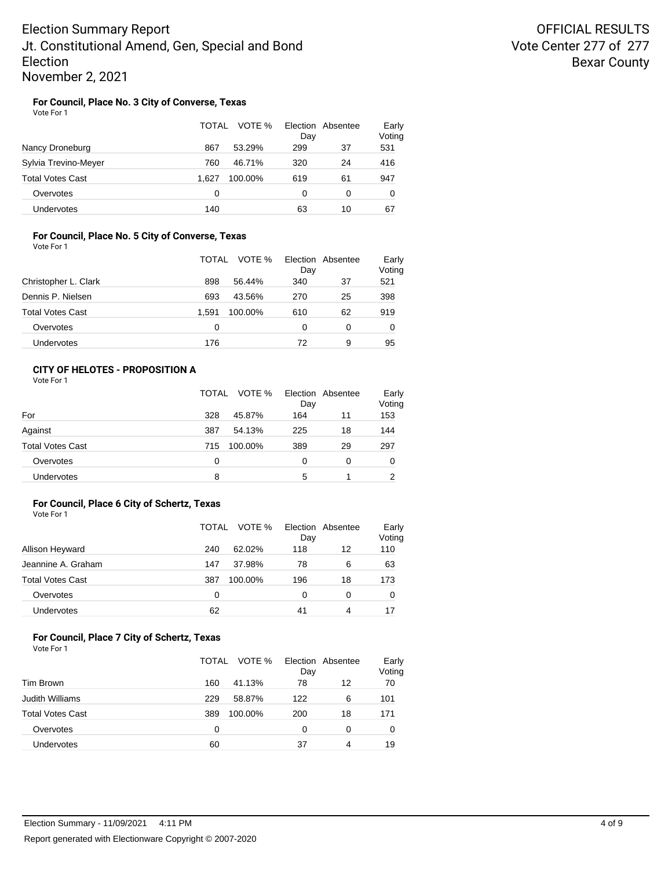## **For Council, Place No. 3 City of Converse, Texas**

Vote For 1

|                         | TOTAL<br>VOTE %  | Election Absentee<br>Day | Early<br>Voting |
|-------------------------|------------------|--------------------------|-----------------|
| Nancy Droneburg         | 867<br>53.29%    | 299<br>37                | 531             |
| Sylvia Trevino-Meyer    | 760<br>46.71%    | 320<br>24                | 416             |
| <b>Total Votes Cast</b> | 1.627<br>100.00% | 619<br>61                | 947             |
| Overvotes               | 0                | 0<br>0                   | 0               |
| Undervotes              | 140              | 63<br>10                 | 67              |

### **For Council, Place No. 5 City of Converse, Texas** Vote For 1

|                         | TOTAL | VOTE %  | Election Absentee<br>Day |    | Early<br>Voting |
|-------------------------|-------|---------|--------------------------|----|-----------------|
| Christopher L. Clark    | 898   | 56.44%  | 340                      | 37 | 521             |
| Dennis P. Nielsen       | 693   | 43.56%  | 270                      | 25 | 398             |
| <b>Total Votes Cast</b> | 1.591 | 100.00% | 610                      | 62 | 919             |
| Overvotes               | 0     |         | 0                        | 0  | 0               |
| Undervotes              | 176   |         | 72                       | 9  | 95              |

## **CITY OF HELOTES - PROPOSITION A**

Vote For 1

|                         | TOTAL | VOTE %  | Day | Election Absentee | Early<br>Voting |
|-------------------------|-------|---------|-----|-------------------|-----------------|
| For                     | 328   | 45.87%  | 164 | 11                | 153             |
| Against                 | 387   | 54.13%  | 225 | 18                | 144             |
| <b>Total Votes Cast</b> | 715   | 100.00% | 389 | 29                | 297             |
| Overvotes               | 0     |         | 0   | 0                 | 0               |
| Undervotes              | 8     |         | 5   |                   | 2               |

### **For Council, Place 6 City of Schertz, Texas**

Vote For 1

|                         | TOTAL | VOTE %  | Day | Election Absentee | Early<br>Voting |
|-------------------------|-------|---------|-----|-------------------|-----------------|
| Allison Heyward         | 240   | 62.02%  | 118 | 12                | 110             |
| Jeannine A. Graham      | 147   | 37.98%  | 78  | 6                 | 63              |
| <b>Total Votes Cast</b> | 387   | 100.00% | 196 | 18                | 173             |
| Overvotes               | O     |         | 0   | 0                 | 0               |
| <b>Undervotes</b>       | 62    |         | 41  | 4                 |                 |

#### **For Council, Place 7 City of Schertz, Texas** Vote For 1

|                         | VOTE %<br>TOTAL |         | Election Absentee<br>Day |    | Early<br>Voting |  |
|-------------------------|-----------------|---------|--------------------------|----|-----------------|--|
| Tim Brown               | 160             | 41.13%  | 78                       | 12 | 70              |  |
| <b>Judith Williams</b>  | 229             | 58.87%  | 122                      | 6  | 101             |  |
| <b>Total Votes Cast</b> | 389             | 100.00% | 200                      | 18 | 171             |  |
| Overvotes               | 0               |         | 0                        | 0  | 0               |  |
| Undervotes              | 60              |         | 37                       | 4  | 19              |  |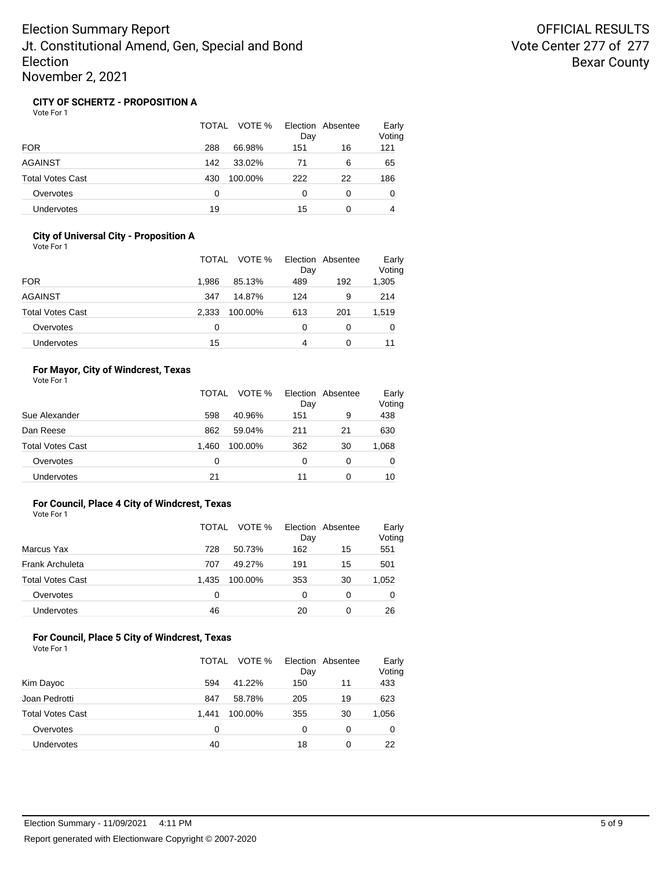## **CITY OF SCHERTZ - PROPOSITION A**

Vote For 1

|                         | TOTAL<br>VOTE % | Election Absentee<br>Day | Early<br>Voting |
|-------------------------|-----------------|--------------------------|-----------------|
| <b>FOR</b>              | 288<br>66.98%   | 151<br>16                | 121             |
| <b>AGAINST</b>          | 142<br>33.02%   | 6<br>71                  | 65              |
| <b>Total Votes Cast</b> | 430<br>100.00%  | 222<br>22                | 186             |
| Overvotes               | 0               | 0<br>0                   | 0               |
| Undervotes              | 19              | 15<br>0                  | 4               |

## **City of Universal City - Proposition A**

| Vote For 1 |  |
|------------|--|
|------------|--|

|                         | VOTE %<br>TOTAL  |     | Election Absentee<br>Day |       |
|-------------------------|------------------|-----|--------------------------|-------|
| <b>FOR</b>              | 85.13%<br>1.986  | 489 | 192                      | 1,305 |
| <b>AGAINST</b>          | 14.87%<br>347    | 124 | 9                        | 214   |
| <b>Total Votes Cast</b> | 2.333<br>100.00% | 613 | 201                      | 1,519 |
| Overvotes               | 0                | 0   | 0                        | 0     |
| <b>Undervotes</b>       | 15               | 4   |                          | 11    |

## **For Mayor, City of Windcrest, Texas**

|                         | <b>TOTAL</b> | VOTE %  | Day | Election Absentee | Early<br>Voting |
|-------------------------|--------------|---------|-----|-------------------|-----------------|
| Sue Alexander           | 598          | 40.96%  | 151 | 9                 | 438             |
| Dan Reese               | 862          | 59.04%  | 211 | 21                | 630             |
| <b>Total Votes Cast</b> | 1.460        | 100.00% | 362 | 30                | 1,068           |
| Overvotes               | 0            |         | 0   | 0                 | 0               |
| <b>Undervotes</b>       | 21           |         | 11  | 0                 | 10              |

### **For Council, Place 4 City of Windcrest, Texas**

Vote For 1

|                         | TOTAL | VOTE %  | Day | Election Absentee | Early<br>Voting |
|-------------------------|-------|---------|-----|-------------------|-----------------|
| Marcus Yax              | 728   | 50.73%  | 162 | 15                | 551             |
| Frank Archuleta         | 707   | 49.27%  | 191 | 15                | 501             |
| <b>Total Votes Cast</b> | 1.435 | 100.00% | 353 | 30                | 1,052           |
| Overvotes               | 0     |         | 0   | 0                 | O               |
| <b>Undervotes</b>       | 46    |         | 20  | 0                 | 26              |

#### **For Council, Place 5 City of Windcrest, Texas** Vote For 1

|                         | TOTAL | VOTE %  | Day | Election Absentee | Early<br>Voting |
|-------------------------|-------|---------|-----|-------------------|-----------------|
| Kim Dayoc               | 594   | 41.22%  | 150 | 11                | 433             |
| Joan Pedrotti           | 847   | 58.78%  | 205 | 19                | 623             |
| <b>Total Votes Cast</b> | 1.441 | 100.00% | 355 | 30                | 1,056           |
| Overvotes               | 0     |         | 0   | 0                 | 0               |
| <b>Undervotes</b>       | 40    |         | 18  | 0                 | 22              |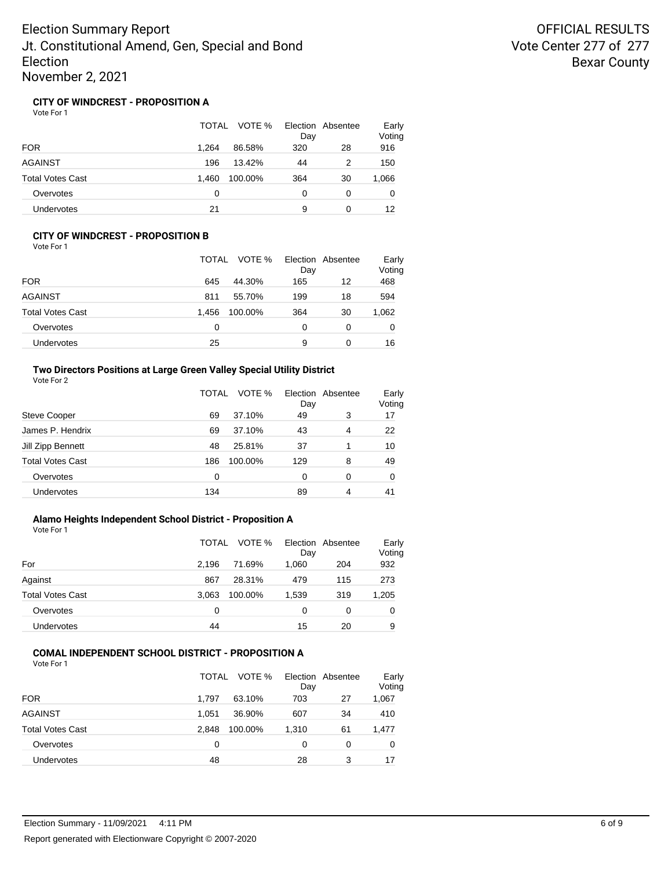## **CITY OF WINDCREST - PROPOSITION A**

Vote For 1

|                         | TOTAL<br>VOTE %  | Election Absentee<br>Day | Early<br>Voting |
|-------------------------|------------------|--------------------------|-----------------|
| <b>FOR</b>              | 1.264<br>86.58%  | 320<br>28                | 916             |
| <b>AGAINST</b>          | 13.42%<br>196    | 2<br>44                  | 150             |
| <b>Total Votes Cast</b> | 1.460<br>100.00% | 364<br>30                | 1,066           |
| Overvotes               | 0                | 0<br>0                   | 0               |
| Undervotes              | 21               | 9<br>0                   | 12              |

#### **CITY OF WINDCREST - PROPOSITION B** Vote For 1

| VULCIUII                |                  |                          |                 |
|-------------------------|------------------|--------------------------|-----------------|
|                         | VOTE %<br>TOTAL  | Election Absentee<br>Day | Early<br>Voting |
| <b>FOR</b>              | 645<br>44.30%    | 12<br>165                | 468             |
| <b>AGAINST</b>          | 811<br>55.70%    | 18<br>199                | 594             |
| <b>Total Votes Cast</b> | 1.456<br>100.00% | 364<br>30                | 1,062           |
| Overvotes               | 0                | ი<br>0                   | 0               |
| <b>Undervotes</b>       | 25               | 9<br>0                   | 16              |

## **Two Directors Positions at Large Green Valley Special Utility District**

| Vote For 2 |  |  |
|------------|--|--|
|------------|--|--|

|                         | TOTAL | VOTE %  | Day | Election Absentee | Early<br>Voting |
|-------------------------|-------|---------|-----|-------------------|-----------------|
| <b>Steve Cooper</b>     | 69    | 37.10%  | 49  | 3                 | 17              |
| James P. Hendrix        | 69    | 37.10%  | 43  | 4                 | 22              |
| Jill Zipp Bennett       | 48    | 25.81%  | 37  | 4                 | 10              |
| <b>Total Votes Cast</b> | 186   | 100.00% | 129 | 8                 | 49              |
| Overvotes               | 0     |         | 0   | 0                 | 0               |
| Undervotes              | 134   |         | 89  | 4                 | 41              |

## **Alamo Heights Independent School District - Proposition A**

Vote For 1

|                         | TOTAL | VOTE %  | Day   | Election Absentee | Early<br>Voting |
|-------------------------|-------|---------|-------|-------------------|-----------------|
| For                     | 2.196 | 71.69%  | 1,060 | 204               | 932             |
| Against                 | 867   | 28.31%  | 479   | 115               | 273             |
| <b>Total Votes Cast</b> | 3.063 | 100.00% | 1,539 | 319               | 1,205           |
| Overvotes               | 0     |         | 0     | 0                 | 0               |
| Undervotes              | 44    |         | 15    | 20                | 9               |

#### **COMAL INDEPENDENT SCHOOL DISTRICT - PROPOSITION A** Vote For 1

| 1 U U U                 |                  |                          |                 |
|-------------------------|------------------|--------------------------|-----------------|
|                         | TOTAL<br>VOTE %  | Election Absentee<br>Day | Early<br>Voting |
|                         |                  |                          |                 |
| <b>FOR</b>              | 63.10%<br>1.797  | 703<br>27                | 1,067           |
| <b>AGAINST</b>          | 36.90%<br>1.051  | 607<br>34                | 410             |
| <b>Total Votes Cast</b> | 2.848<br>100.00% | 61<br>1,310              | 1,477           |
| Overvotes               | 0                | 0<br>0                   | 0               |
| <b>Undervotes</b>       | 48               | 28<br>3                  | 17              |
|                         |                  |                          |                 |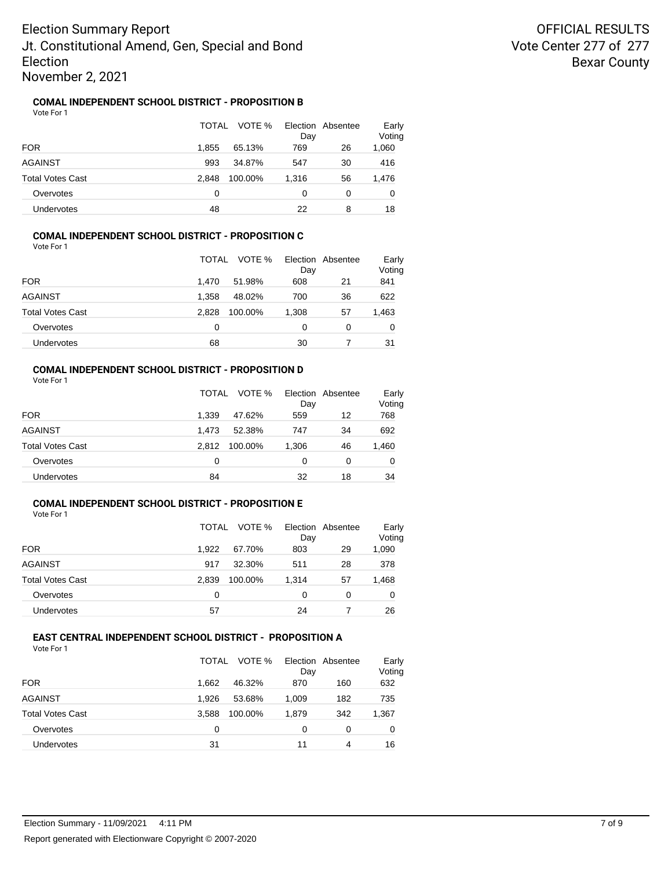## **COMAL INDEPENDENT SCHOOL DISTRICT - PROPOSITION B**

Vote For 1

|                   | TOTAL | VOTE %  | Day   | Election Absentee | Early<br>Voting |
|-------------------|-------|---------|-------|-------------------|-----------------|
| <b>FOR</b>        | 1.855 | 65.13%  | 769   | 26                | 1,060           |
| AGAINST           | 993   | 34.87%  | 547   | 30                | 416             |
| Total Votes Cast  | 2.848 | 100.00% | 1.316 | 56                | 1,476           |
| Overvotes         | 0     |         | 0     | 0                 | 0               |
| <b>Undervotes</b> | 48    |         | 22    | 8                 | 18              |

### **COMAL INDEPENDENT SCHOOL DISTRICT - PROPOSITION C** Vote For 1

TOTAL VOTE % Day Election Absentee Early Voting FOR 1,470 51.98% 608 21 841 AGAINST 1,358 48.02% 700 36 622 Total Votes Cast 2,828 100.00% 1,308 57 1,463 Overvotes 0 0 0 0 0 Undervotes 68 30 7 31

## **COMAL INDEPENDENT SCHOOL DISTRICT - PROPOSITION D**

Vote For 1

|                         | TOTAL | VOTE %<br>Day    | Election Absentee | Early<br>Voting |
|-------------------------|-------|------------------|-------------------|-----------------|
| <b>FOR</b>              | 1.339 | 559<br>47.62%    | 12                | 768             |
| <b>AGAINST</b>          | 1.473 | 52.38%<br>747    | 34                | 692             |
| <b>Total Votes Cast</b> | 2.812 | 100.00%<br>1,306 | 46                | 1,460           |
| Overvotes               | 0     | 0                | 0                 | 0               |
| <b>Undervotes</b>       | 84    | 32               | 18                | 34              |

## **COMAL INDEPENDENT SCHOOL DISTRICT - PROPOSITION E**

Vote For 1

|                         | TOTAL | VOTE %<br>Day    | Election Absentee | Early<br>Voting |
|-------------------------|-------|------------------|-------------------|-----------------|
| <b>FOR</b>              | 1.922 | 67.70%<br>803    | 29                | 1,090           |
| <b>AGAINST</b>          | 917   | 32.30%<br>511    | 28                | 378             |
| <b>Total Votes Cast</b> | 2.839 | 100.00%<br>1.314 | 57                | 1,468           |
| Overvotes               | 0     | 0                | 0                 | 0               |
| Undervotes              | 57    | 24               |                   | 26              |

#### **EAST CENTRAL INDEPENDENT SCHOOL DISTRICT - PROPOSITION A** Vote For 1

|                         | TOTAL | VOTE %<br>Day    | Election Absentee | Early<br>Voting |
|-------------------------|-------|------------------|-------------------|-----------------|
| <b>FOR</b>              | 1.662 | 46.32%<br>870    | 160               | 632             |
| <b>AGAINST</b>          | 1.926 | 53.68%<br>1,009  | 182               | 735             |
| <b>Total Votes Cast</b> | 3.588 | 100.00%<br>1.879 | 342               | 1,367           |
| Overvotes               | 0     | 0                | 0                 | 0               |
| <b>Undervotes</b>       | 31    | 11               | 4                 | 16              |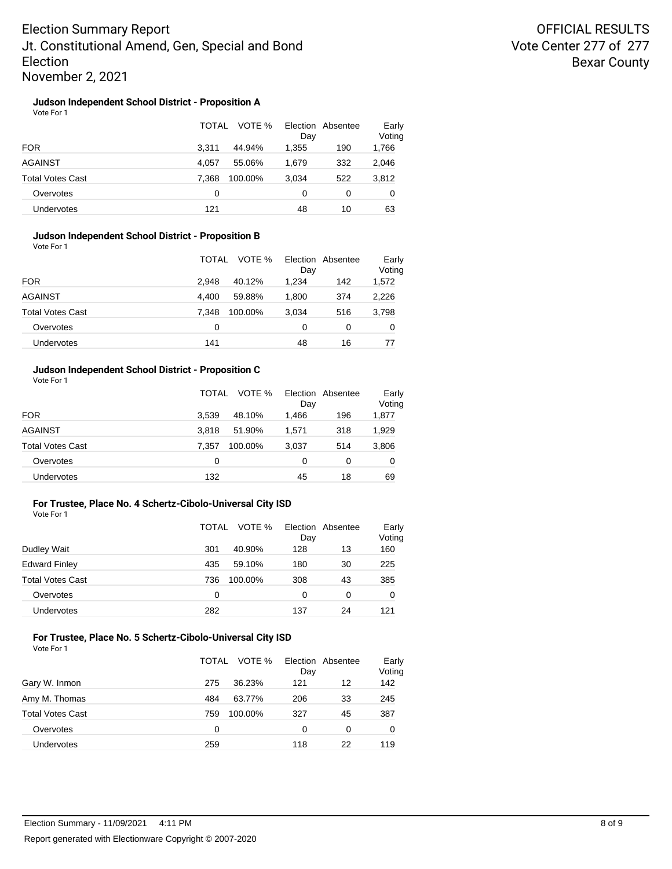## **Judson Independent School District - Proposition A**

Vote For 1

|                   | TOTAL | VOTE %  | Day   | Election Absentee | Early<br>Voting |
|-------------------|-------|---------|-------|-------------------|-----------------|
| <b>FOR</b>        | 3.311 | 44.94%  | 1,355 | 190               | 1,766           |
| AGAINST           | 4.057 | 55.06%  | 1,679 | 332               | 2,046           |
| Total Votes Cast  | 7.368 | 100.00% | 3,034 | 522               | 3,812           |
| Overvotes         | 0     |         | 0     | 0                 | 0               |
| <b>Undervotes</b> | 121   |         | 48    | 10                | 63              |

### **Judson Independent School District - Proposition B** Vote For 1

|                         | VOTE %<br>TOTAL  | Election Absentee<br>Day | Early<br>Voting |
|-------------------------|------------------|--------------------------|-----------------|
| <b>FOR</b>              | 2.948<br>40.12%  | 1.234<br>142             | 1,572           |
| AGAINST                 | 4.400<br>59.88%  | 1,800<br>374             | 2,226           |
| <b>Total Votes Cast</b> | 7.348<br>100.00% | 3,034<br>516             | 3,798           |
| Overvotes               | 0                | 0<br>0                   | 0               |
| Undervotes              | 141              | 48<br>16                 | 77              |

### **Judson Independent School District - Proposition C**

Vote For 1

|                         | TOTAL | VOTE %  | Day   | Election Absentee | Early<br>Voting |
|-------------------------|-------|---------|-------|-------------------|-----------------|
| <b>FOR</b>              | 3.539 | 48.10%  | 1.466 | 196               | 1,877           |
| <b>AGAINST</b>          | 3.818 | 51.90%  | 1.571 | 318               | 1,929           |
| <b>Total Votes Cast</b> | 7.357 | 100.00% | 3,037 | 514               | 3,806           |
| Overvotes               | 0     |         | 0     | 0                 | 0               |
| <b>Undervotes</b>       | 132   |         | 45    | 18                | 69              |

### **For Trustee, Place No. 4 Schertz-Cibolo-Universal City ISD**

Vote For 1

|                         | TOTAL | VOTE %  | Day | Election Absentee | Early<br>Voting |
|-------------------------|-------|---------|-----|-------------------|-----------------|
| Dudley Wait             | 301   | 40.90%  | 128 | 13                | 160             |
| <b>Edward Finley</b>    | 435   | 59.10%  | 180 | 30                | 225             |
| <b>Total Votes Cast</b> | 736   | 100.00% | 308 | 43                | 385             |
| Overvotes               | 0     |         | 0   | 0                 | 0               |
| Undervotes              | 282   |         | 137 | 24                | 121             |

#### **For Trustee, Place No. 5 Schertz-Cibolo-Universal City ISD** Vote For 1

|                         | TOTAL | VOTE %  | Election Absentee<br>Day |    | Early<br>Voting |
|-------------------------|-------|---------|--------------------------|----|-----------------|
| Gary W. Inmon           | 275   | 36.23%  | 121                      | 12 | 142             |
| Amy M. Thomas           | 484   | 63.77%  | 206                      | 33 | 245             |
| <b>Total Votes Cast</b> | 759   | 100.00% | 327                      | 45 | 387             |
| Overvotes               | 0     |         | 0                        | 0  | 0               |
| <b>Undervotes</b>       | 259   |         | 118                      | 22 | 119             |